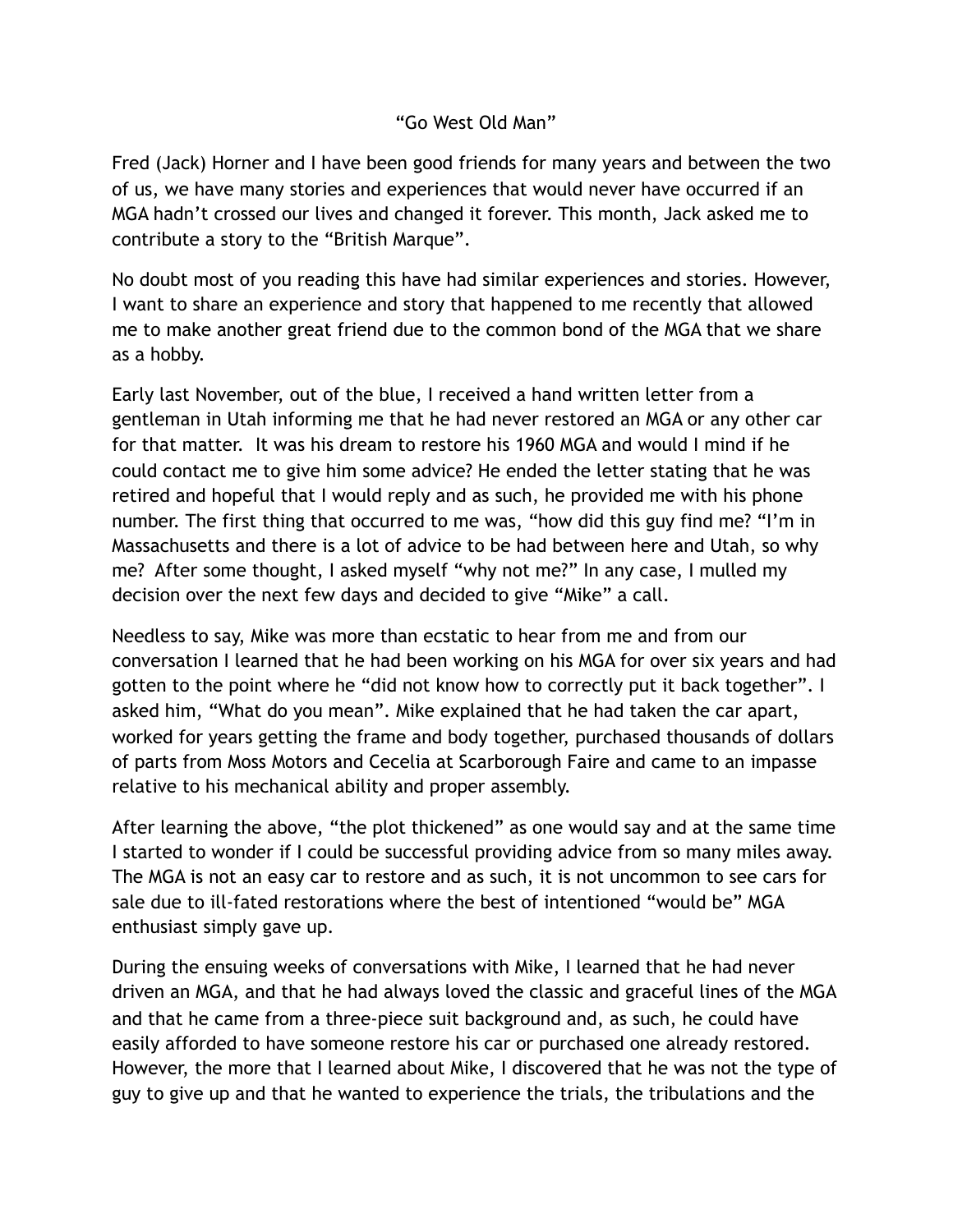## "Go West Old Man"

Fred (Jack) Horner and I have been good friends for many years and between the two of us, we have many stories and experiences that would never have occurred if an MGA hadn't crossed our lives and changed it forever. This month, Jack asked me to contribute a story to the "British Marque".

No doubt most of you reading this have had similar experiences and stories. However, I want to share an experience and story that happened to me recently that allowed me to make another great friend due to the common bond of the MGA that we share as a hobby.

Early last November, out of the blue, I received a hand written letter from a gentleman in Utah informing me that he had never restored an MGA or any other car for that matter. It was his dream to restore his 1960 MGA and would I mind if he could contact me to give him some advice? He ended the letter stating that he was retired and hopeful that I would reply and as such, he provided me with his phone number. The first thing that occurred to me was, "how did this guy find me? "I'm in Massachusetts and there is a lot of advice to be had between here and Utah, so why me? After some thought, I asked myself "why not me?" In any case, I mulled my decision over the next few days and decided to give "Mike" a call.

Needless to say, Mike was more than ecstatic to hear from me and from our conversation I learned that he had been working on his MGA for over six years and had gotten to the point where he "did not know how to correctly put it back together". I asked him, "What do you mean". Mike explained that he had taken the car apart, worked for years getting the frame and body together, purchased thousands of dollars of parts from Moss Motors and Cecelia at Scarborough Faire and came to an impasse relative to his mechanical ability and proper assembly.

After learning the above, "the plot thickened" as one would say and at the same time I started to wonder if I could be successful providing advice from so many miles away. The MGA is not an easy car to restore and as such, it is not uncommon to see cars for sale due to ill-fated restorations where the best of intentioned "would be" MGA enthusiast simply gave up.

During the ensuing weeks of conversations with Mike, I learned that he had never driven an MGA, and that he had always loved the classic and graceful lines of the MGA and that he came from a three-piece suit background and, as such, he could have easily afforded to have someone restore his car or purchased one already restored. However, the more that I learned about Mike, I discovered that he was not the type of guy to give up and that he wanted to experience the trials, the tribulations and the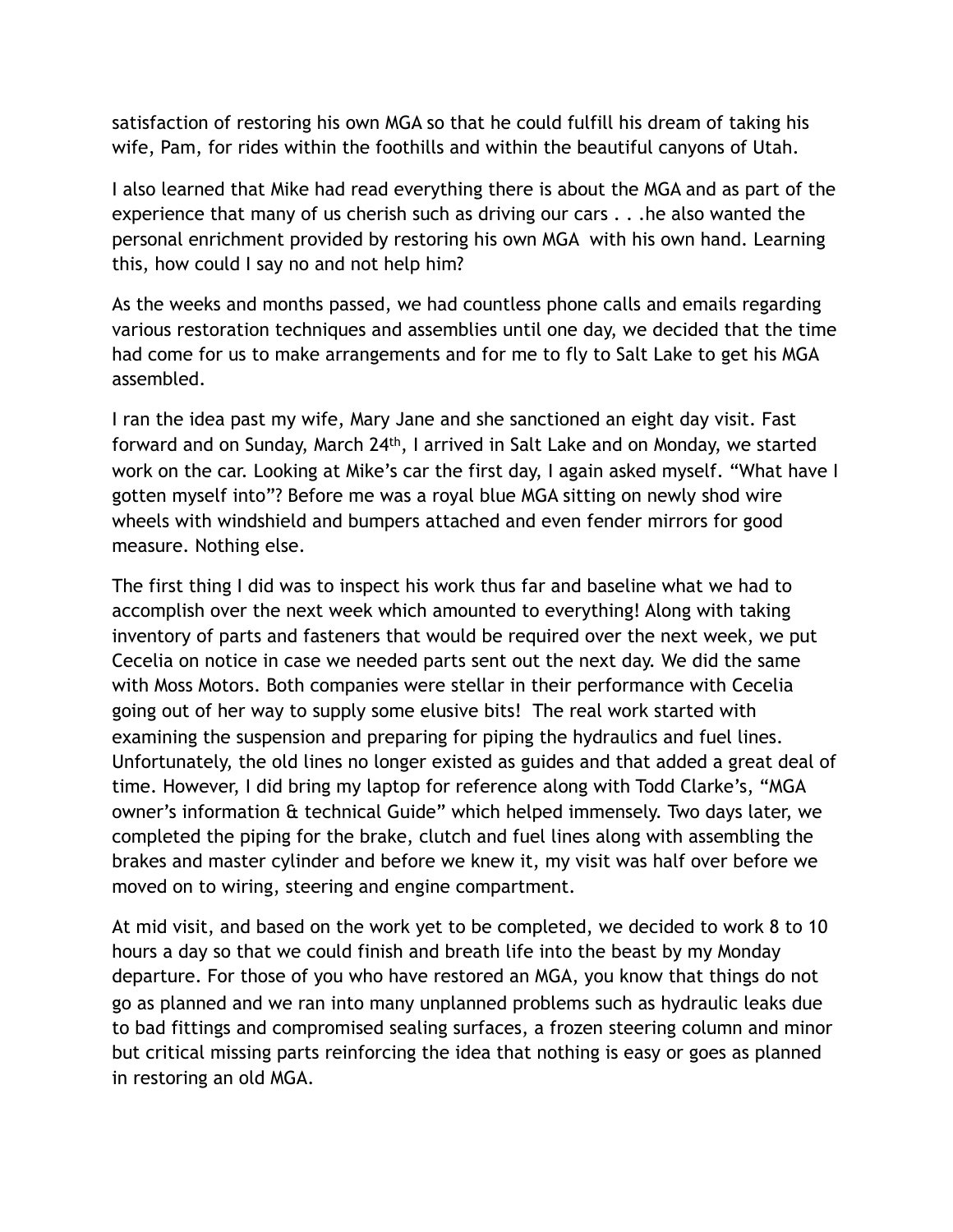satisfaction of restoring his own MGA so that he could fulfill his dream of taking his wife, Pam, for rides within the foothills and within the beautiful canyons of Utah.

I also learned that Mike had read everything there is about the MGA and as part of the experience that many of us cherish such as driving our cars . . .he also wanted the personal enrichment provided by restoring his own MGA with his own hand. Learning this, how could I say no and not help him?

As the weeks and months passed, we had countless phone calls and emails regarding various restoration techniques and assemblies until one day, we decided that the time had come for us to make arrangements and for me to fly to Salt Lake to get his MGA assembled.

I ran the idea past my wife, Mary Jane and she sanctioned an eight day visit. Fast forward and on Sunday, March 24th, I arrived in Salt Lake and on Monday, we started work on the car. Looking at Mike's car the first day, I again asked myself. "What have I gotten myself into"? Before me was a royal blue MGA sitting on newly shod wire wheels with windshield and bumpers attached and even fender mirrors for good measure. Nothing else.

The first thing I did was to inspect his work thus far and baseline what we had to accomplish over the next week which amounted to everything! Along with taking inventory of parts and fasteners that would be required over the next week, we put Cecelia on notice in case we needed parts sent out the next day. We did the same with Moss Motors. Both companies were stellar in their performance with Cecelia going out of her way to supply some elusive bits! The real work started with examining the suspension and preparing for piping the hydraulics and fuel lines. Unfortunately, the old lines no longer existed as guides and that added a great deal of time. However, I did bring my laptop for reference along with Todd Clarke's, "MGA owner's information & technical Guide" which helped immensely. Two days later, we completed the piping for the brake, clutch and fuel lines along with assembling the brakes and master cylinder and before we knew it, my visit was half over before we moved on to wiring, steering and engine compartment.

At mid visit, and based on the work yet to be completed, we decided to work 8 to 10 hours a day so that we could finish and breath life into the beast by my Monday departure. For those of you who have restored an MGA, you know that things do not go as planned and we ran into many unplanned problems such as hydraulic leaks due to bad fittings and compromised sealing surfaces, a frozen steering column and minor but critical missing parts reinforcing the idea that nothing is easy or goes as planned in restoring an old MGA.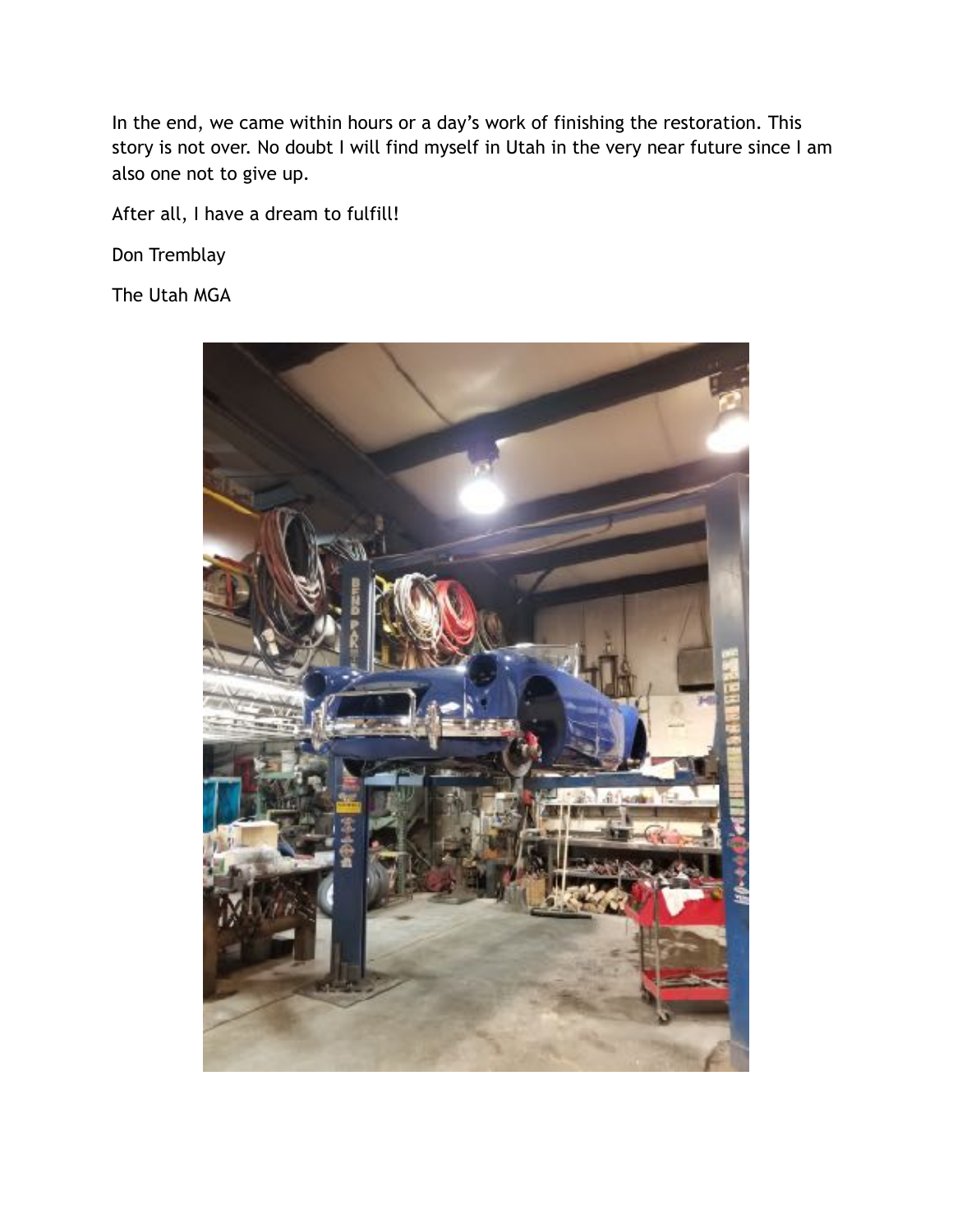In the end, we came within hours or a day's work of finishing the restoration. This story is not over. No doubt I will find myself in Utah in the very near future since I am also one not to give up.

After all, I have a dream to fulfill!

Don Tremblay

The Utah MGA

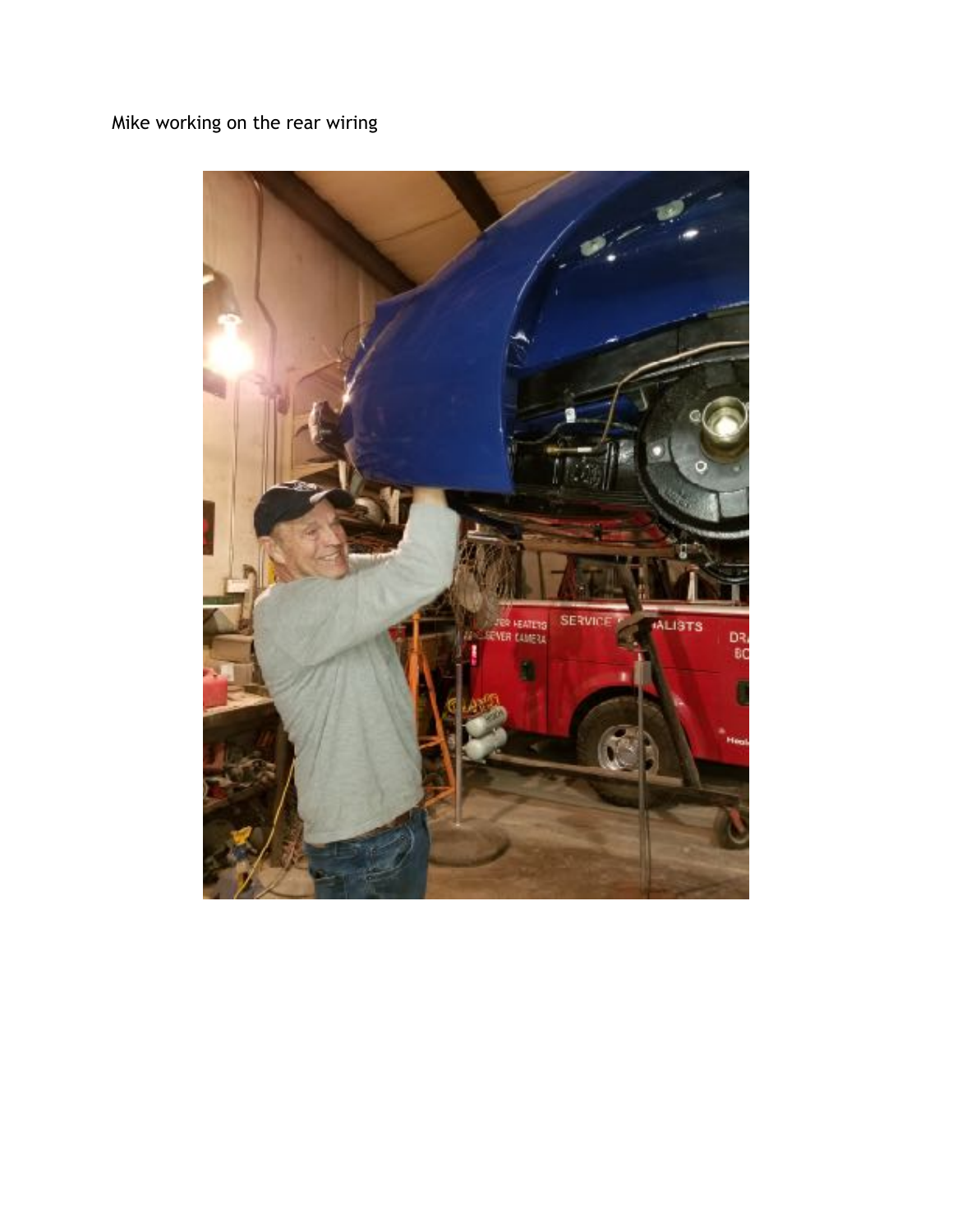## Mike working on the rear wiring